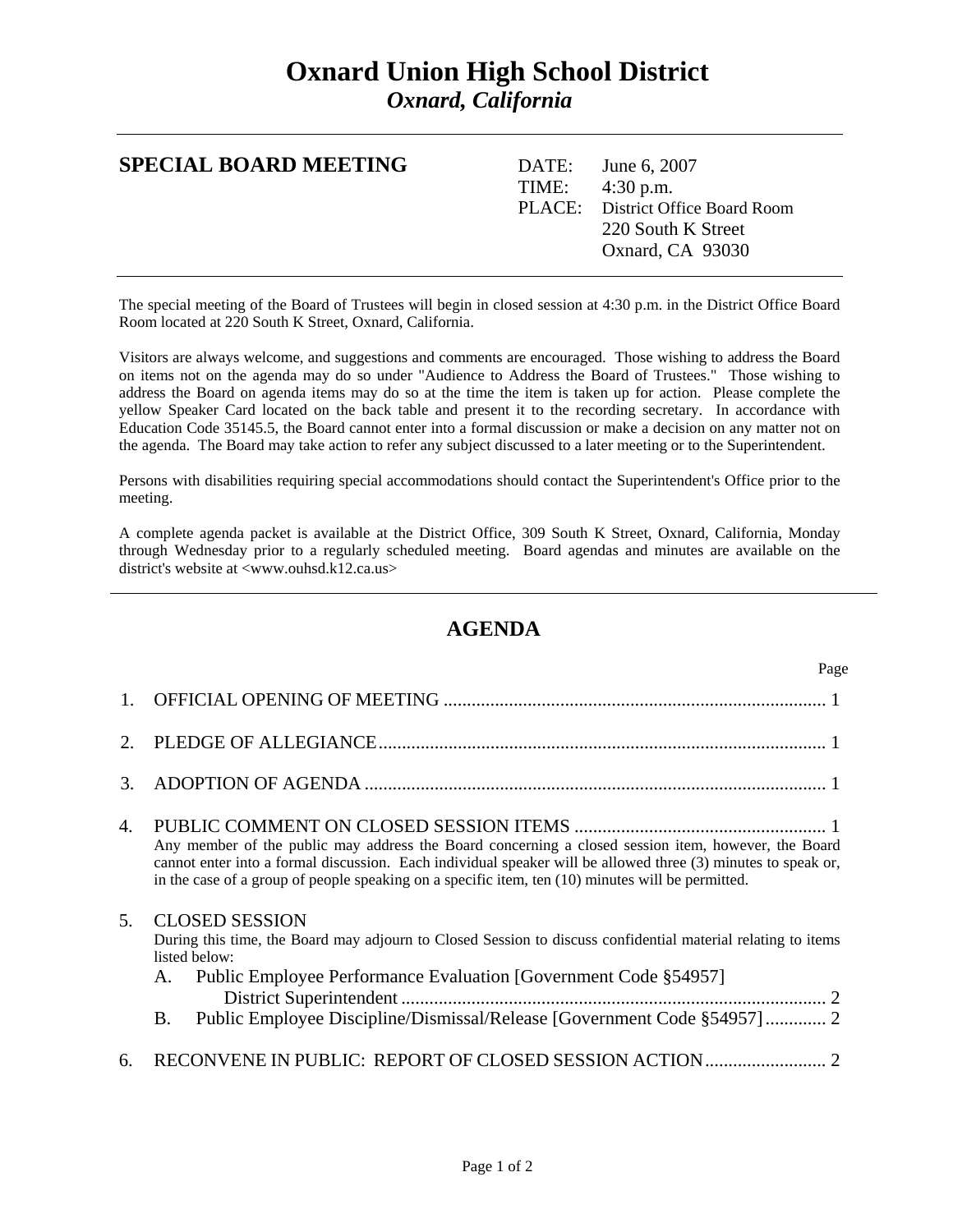## **Oxnard Union High School District**  *Oxnard, California*

| <b>SPECIAL BOARD MEETING</b> | DATE: June 6, $2007$<br>TIME: $4:30 \text{ p.m.}$<br>PLACE: District Office Board Room<br>220 South K Street<br>Oxnard, CA 93030 |
|------------------------------|----------------------------------------------------------------------------------------------------------------------------------|
|                              |                                                                                                                                  |

The special meeting of the Board of Trustees will begin in closed session at 4:30 p.m. in the District Office Board Room located at 220 South K Street, Oxnard, California.

Visitors are always welcome, and suggestions and comments are encouraged. Those wishing to address the Board on items not on the agenda may do so under "Audience to Address the Board of Trustees." Those wishing to address the Board on agenda items may do so at the time the item is taken up for action. Please complete the yellow Speaker Card located on the back table and present it to the recording secretary. In accordance with Education Code 35145.5, the Board cannot enter into a formal discussion or make a decision on any matter not on the agenda. The Board may take action to refer any subject discussed to a later meeting or to the Superintendent.

Persons with disabilities requiring special accommodations should contact the Superintendent's Office prior to the meeting.

A complete agenda packet is available at the District Office, 309 South K Street, Oxnard, California, Monday through Wednesday prior to a regularly scheduled meeting. Board agendas and minutes are available on the district's website at <www.ouhsd.k12.ca.us>

## **AGENDA**

|                | Page                                                                                                                                                                                                                                                                                                                      |
|----------------|---------------------------------------------------------------------------------------------------------------------------------------------------------------------------------------------------------------------------------------------------------------------------------------------------------------------------|
|                |                                                                                                                                                                                                                                                                                                                           |
| $\overline{2}$ |                                                                                                                                                                                                                                                                                                                           |
| 3.             |                                                                                                                                                                                                                                                                                                                           |
| 4.             | Any member of the public may address the Board concerning a closed session item, however, the Board<br>cannot enter into a formal discussion. Each individual speaker will be allowed three (3) minutes to speak or,<br>in the case of a group of people speaking on a specific item, ten (10) minutes will be permitted. |
| 5 <sub>1</sub> | <b>CLOSED SESSION</b><br>During this time, the Board may adjourn to Closed Session to discuss confidential material relating to items<br>listed below:<br>Public Employee Performance Evaluation [Government Code §54957]<br>A.<br>Public Employee Discipline/Dismissal/Release [Government Code §54957] 2<br><b>B.</b>   |
| 6.             | RECONVENE IN PUBLIC: REPORT OF CLOSED SESSION ACTION                                                                                                                                                                                                                                                                      |